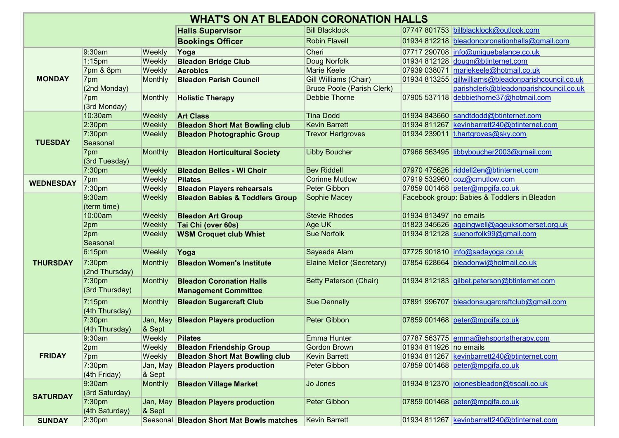| <b>WHAT'S ON AT BLEADON CORONATION HALLS</b> |                     |                |                                            |                                   |                        |                                                      |  |  |  |
|----------------------------------------------|---------------------|----------------|--------------------------------------------|-----------------------------------|------------------------|------------------------------------------------------|--|--|--|
|                                              |                     |                | <b>Halls Supervisor</b>                    | <b>Bill Blacklock</b>             |                        | 07747 801753 billblacklock@outlook.com               |  |  |  |
|                                              |                     |                | <b>Bookings Officer</b>                    | <b>Robin Flavell</b>              |                        | 01934 812218 bleadoncoronationhalls@gmail.com        |  |  |  |
| <b>MONDAY</b>                                | 9:30am              | Weekly         | Yoga                                       | Cheri                             |                        | 07717 290708 info@uniquebalance.co.uk                |  |  |  |
|                                              | $1:15$ pm           | Weekly         | <b>Bleadon Bridge Club</b>                 | Doug Norfolk                      |                        | 01934 812128 $down@blinternet.com$                   |  |  |  |
|                                              | 7pm & 8pm           | Weekly         | <b>Aerobics</b>                            | <b>Marie Keele</b>                |                        | 07939 038071 mariekeele@hotmail.co.uk                |  |  |  |
|                                              | 7pm                 | Monthly        | <b>Bleadon Parish Council</b>              | Gill Williams (Chair)             |                        | 01934 813255 gillwilliams@bleadonparishcouncil.co.uk |  |  |  |
|                                              | (2nd Monday)        |                |                                            | <b>Bruce Poole (Parish Clerk)</b> |                        | parishclerk@bleadonparishcouncil.co.uk               |  |  |  |
|                                              | 7pm<br>(3rd Monday) | Monthly        | <b>Holistic Therapy</b>                    | Debbie Thorne                     |                        | 07905 537118 debbiethorne37@hotmail.com              |  |  |  |
|                                              | 10:30am             | Weekly         | <b>Art Class</b>                           | <b>Tina Dodd</b>                  |                        | 01934 843660 sandtdodd@btinternet.com                |  |  |  |
|                                              | 2:30 <sub>pm</sub>  | Weekly         | <b>Bleadon Short Mat Bowling club</b>      | <b>Kevin Barrett</b>              |                        | 01934 811267 kevinbarrett240@btinternet.com          |  |  |  |
|                                              | 7:30 <sub>pm</sub>  | Weekly         | <b>Bleadon Photographic Group</b>          | <b>Trevor Hartgroves</b>          |                        | 01934 239011 t.hartgroves@sky.com                    |  |  |  |
| <b>TUESDAY</b>                               | Seasonal            |                |                                            |                                   |                        |                                                      |  |  |  |
|                                              | 7pm                 | Monthly        | <b>Bleadon Horticultural Society</b>       | <b>Libby Boucher</b>              |                        | 07966 563495 libbyboucher2003@gmail.com              |  |  |  |
|                                              | (3rd Tuesday)       |                |                                            |                                   |                        |                                                      |  |  |  |
|                                              | 7:30 <sub>pm</sub>  | Weekly         | <b>Bleadon Belles - WI Choir</b>           | <b>Bev Riddell</b>                |                        | 07970 475626 riddell2en@btinternet.com               |  |  |  |
| <b>WEDNESDAY</b>                             | 7pm                 | Weekly         | <b>Pilates</b>                             | <b>Corinne Mutlow</b>             |                        | 07919 532960 coz@cmutlow.com                         |  |  |  |
|                                              | 7:30pm              | Weekly         | <b>Bleadon Players rehearsals</b>          | Peter Gibbon                      |                        | 07859 001468 peter@mpgifa.co.uk                      |  |  |  |
|                                              | 9:30am              | Weekly         | <b>Bleadon Babies &amp; Toddlers Group</b> | Sophie Macey                      |                        | Facebook group: Babies & Toddlers in Bleadon         |  |  |  |
| <b>THURSDAY</b>                              | (term time)         |                |                                            |                                   |                        |                                                      |  |  |  |
|                                              | 10:00am             | Weekly         | <b>Bleadon Art Group</b>                   | <b>Stevie Rhodes</b>              | 01934 813497 no emails |                                                      |  |  |  |
|                                              | 2pm                 | Weekly         | Tai Chi (over 60s)                         | Age UK                            |                        | 01823 345626 ageingwell@ageuksomerset.org.uk         |  |  |  |
|                                              | 2pm                 | Weekly         | <b>WSM Croquet club Whist</b>              | <b>Sue Norfolk</b>                |                        | 01934 812128 suenorfolk99@gmail.com                  |  |  |  |
|                                              | Seasonal            |                |                                            |                                   |                        |                                                      |  |  |  |
|                                              | $6:15$ pm           | Weekly         | Yoga                                       | Sayeeda Alam                      |                        | 07725 901810 info@sadayoga.co.uk                     |  |  |  |
|                                              | 7:30 <sub>pm</sub>  | Monthly        | <b>Bleadon Women's Institute</b>           | Elaine Mellor (Secretary)         |                        | 07854 628664 bleadonwi@hotmail.co.uk                 |  |  |  |
|                                              | (2nd Thursday)      |                |                                            |                                   |                        |                                                      |  |  |  |
|                                              | 7:30 <sub>pm</sub>  | Monthly        | <b>Bleadon Coronation Halls</b>            | <b>Betty Paterson (Chair)</b>     |                        | 01934 812183 gilbet.paterson@btinternet.com          |  |  |  |
|                                              | (3rd Thursday)      |                | <b>Management Committee</b>                |                                   |                        |                                                      |  |  |  |
|                                              | $7:15$ pm           | Monthly        | <b>Bleadon Sugarcraft Club</b>             | <b>Sue Dennelly</b>               |                        | 07891 996707 bleadonsugarcraftclub@gmail.com         |  |  |  |
|                                              | (4th Thursday)      |                |                                            |                                   |                        |                                                      |  |  |  |
|                                              | 7:30 <sub>pm</sub>  | Jan, May       | <b>Bleadon Players production</b>          | Peter Gibbon                      |                        | 07859 001468 peter@mpgifa.co.uk                      |  |  |  |
|                                              | (4th Thursday)      | & Sept         |                                            |                                   |                        |                                                      |  |  |  |
| <b>FRIDAY</b>                                | 9:30am              | Weekly         | Pilates                                    | Emma Hunter                       |                        | 07787 563775 emma@ehsportstherapy.com                |  |  |  |
|                                              | 2pm                 | Weekly         | <b>Bleadon Friendship Group</b>            | <b>Gordon Brown</b>               | 01934 811926 no emails |                                                      |  |  |  |
|                                              | 7pm                 | Weekly         | <b>Bleadon Short Mat Bowling club</b>      | <b>Kevin Barrett</b>              |                        | 01934 811267 kevinbarrett240@btinternet.com          |  |  |  |
|                                              | 7:30pm              | Jan, May       | <b>Bleadon Players production</b>          | Peter Gibbon                      |                        | 07859 001468 $peter@mpqifa.co.uk$                    |  |  |  |
|                                              | (4th Friday)        | & Sept         |                                            |                                   |                        |                                                      |  |  |  |
| <b>SATURDAY</b>                              | 9:30am              | <b>Monthly</b> | <b>Bleadon Village Market</b>              | Jo Jones                          |                        | 01934 812370 jojonesbleadon@tiscali.co.uk            |  |  |  |
|                                              | (3rd Saturday)      |                |                                            |                                   |                        |                                                      |  |  |  |
|                                              | 7:30 <sub>pm</sub>  |                | Jan, May Bleadon Players production        | Peter Gibbon                      |                        | 07859 001468 peter@mpgifa.co.uk                      |  |  |  |
|                                              | (4th Saturday)      | & Sept         |                                            |                                   |                        |                                                      |  |  |  |
| <b>SUNDAY</b>                                | 2:30 <sub>pm</sub>  |                | Seasonal Bleadon Short Mat Bowls matches   | Kevin Barrett                     |                        | 01934 811267   kevinbarrett240@btinternet.com        |  |  |  |